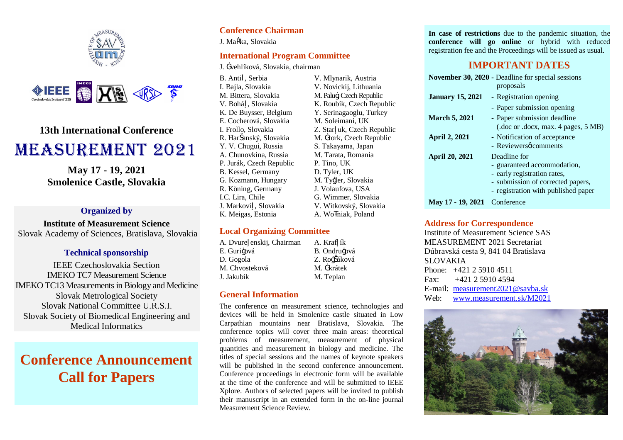



# **13th International Conference** MEASUREMENT 2021

**May 17 - 19, 2021 Smolenice Castle, Slovakia**

### **Organized by**

**Institute of Measurement Science** Slovak Academy of Sciences, Bratislava, Slovakia

#### **Technical sponsorship**

IEEE Czechoslovakia Section IMEKO TC7 Measurement Science IMEKO TC13 Measurements in Biology and Medicine Slovak Metrological Society Slovak National Committee U.R.S.I. Slovak Society of Biomedical Engineering and Medical Informatics

# **Conference Announcement Call for Papers**

## **Conference Chairman**

J. Ma ka, Slovakia

### **International Program Committee**

J. <sup>T</sup>Vehlíková, Slovakia, chairman

B. Anti , Serbia I. Bajla, Slovakia M. Bittera, Slovakia V. Bohá , Slovakia K. De Buysser, Belgium E. Cocherová, Slovakia I. Frollo, Slovakia R. Har anský, Slovakia Y. V. Chugui, Russia A. Chunovkina, Russia P. Jurák, Czech Republic B. Kessel, Germany G. Kozmann, Hungary R. Köning, Germany I.C. Lira, Chile J. Markovi , Slovakia K. Meigas, Estonia

V. Mlynarik, Austria V. Novickij, Lithuania M. Palu-, Czech Republic K. Roubík, Czech Republic Y. Serinagaoglu, Turkey M. Soleimani, UK Z. Star uk, Czech Republic M. Trork, Czech Republic S. Takayama, Japan M. Tarata, Romania P. Tino, UK D. Tyler, UK M. Tv-ler, Slovakia J. Volaufova, USA G. Wimmer, Slovakia V. Witkovský, Slovakia A. Wo niak, Poland

## **Local Organizing Committee**

A. Dvure enskij, Chairman E. Guri-ová D. Gogola M. Chvosteková J. Jakubík

# **General Information**

The conference on measurement science, technologies and devices will be held in Smolenice castle situated in Low Carpathian mountains near Bratislava, Slovakia. The conference topics will cover three main areas: theoretical problems of measurement, measurement of physical quantities and measurement in biology and medicine. The titles of special sessions and the names of keynote speakers will be published in the second conference announcement. Conference proceedings in electronic form will be available at the time of the conference and will be submitted to IEEE Xplore. Authors of selected papers will be invited to publish their manuscript in an extended form in the on-line journal Measurement Science Review.

A. Kraf ík B. Ondru-ová Z. Ro–áková M. T¥rátek M. Teplan

**In case of restrictions** due to the pandemic situation, the **conference will go online** or hybrid with reduced registration fee and the Proceedings will be issued as usual.

# **IMPORTANT DATES**

|                         | November 30, 2020 - Deadline for special sessions<br>proposals     |
|-------------------------|--------------------------------------------------------------------|
| <b>January 15, 2021</b> | - Registration opening                                             |
|                         | - Paper submission opening                                         |
| <b>March 5, 2021</b>    | - Paper submission deadline<br>(.doc or .docx, max. 4 pages, 5 MB) |
| <b>April 2, 2021</b>    | - Notification of acceptance                                       |
|                         | - Reviewersøcomments                                               |
| <b>April 20, 2021</b>   | Deadline for                                                       |
|                         | - guaranteed accommodation,                                        |
|                         | - early registration rates,                                        |
|                         | - submission of corrected papers,                                  |
|                         | - registration with published paper                                |
| May 17 - 19, 2021       | Conference                                                         |

#### **Address for Correspondence**

Institute of Measurement Science SAS MEASUREMENT 2021 Secretariat Dúbravská cesta 9, 841 04 Bratislava SLOVAKIA Phone: +421 2 5910 4511  $Fax: +421259104594$ E-mail: measurement2021@savba.sk Web: www.measurement.sk/M2021